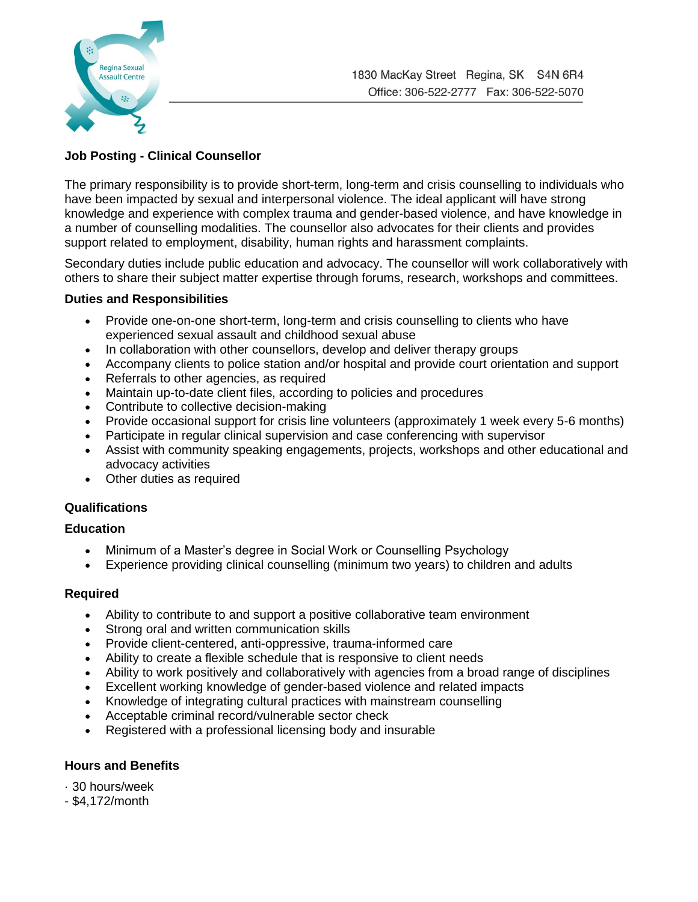

# **Job Posting - Clinical Counsellor**

The primary responsibility is to provide short-term, long-term and crisis counselling to individuals who have been impacted by sexual and interpersonal violence. The ideal applicant will have strong knowledge and experience with complex trauma and gender-based violence, and have knowledge in a number of counselling modalities. The counsellor also advocates for their clients and provides support related to employment, disability, human rights and harassment complaints.

Secondary duties include public education and advocacy. The counsellor will work collaboratively with others to share their subject matter expertise through forums, research, workshops and committees.

### **Duties and Responsibilities**

- Provide one-on-one short-term, long-term and crisis counselling to clients who have experienced sexual assault and childhood sexual abuse
- In collaboration with other counsellors, develop and deliver therapy groups
- Accompany clients to police station and/or hospital and provide court orientation and support
- Referrals to other agencies, as required
- Maintain up-to-date client files, according to policies and procedures
- Contribute to collective decision-making
- Provide occasional support for crisis line volunteers (approximately 1 week every 5-6 months)
- Participate in regular clinical supervision and case conferencing with supervisor
- Assist with community speaking engagements, projects, workshops and other educational and advocacy activities
- Other duties as required

### **Qualifications**

### **Education**

- Minimum of a Master's degree in Social Work or Counselling Psychology
- Experience providing clinical counselling (minimum two years) to children and adults

### **Required**

- Ability to contribute to and support a positive collaborative team environment
- Strong oral and written communication skills
- Provide client-centered, anti-oppressive, trauma-informed care
- Ability to create a flexible schedule that is responsive to client needs
- Ability to work positively and collaboratively with agencies from a broad range of disciplines
- Excellent working knowledge of gender-based violence and related impacts
- Knowledge of integrating cultural practices with mainstream counselling
- Acceptable criminal record/vulnerable sector check
- Registered with a professional licensing body and insurable

## **Hours and Benefits**

- · 30 hours/week
- \$4,172/month